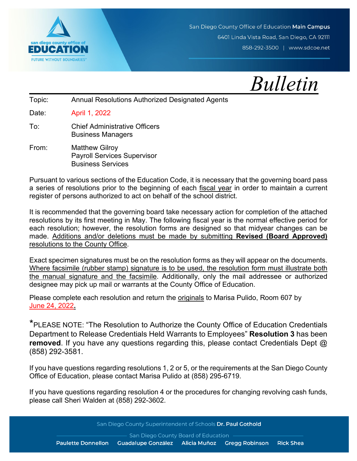

San Diego County Office of Education Main Campus 6401 Linda Vista Road, San Diego, CA 92111 858-292-3500 | www.sdcoe.net

 *Bulletin*

Topic: Annual Resolutions Authorized Designated Agents

Date: April 1, 2022

- To: Chief Administrative Officers Business Managers
- From: Matthew Gilroy Payroll Services Supervisor Business Services

Pursuant to various sections of the Education Code, it is necessary that the governing board pass a series of resolutions prior to the beginning of each fiscal year in order to maintain a current register of persons authorized to act on behalf of the school district.

It is recommended that the governing board take necessary action for completion of the attached resolutions by its first meeting in May. The following fiscal year is the normal effective period for each resolution; however, the resolution forms are designed so that midyear changes can be made. Additions and/or deletions must be made by submitting **Revised (Board Approved)** resolutions to the County Office.

Exact specimen signatures must be on the resolution forms as they will appear on the documents. Where facsimile (rubber stamp) signature is to be used, the resolution form must illustrate both the manual signature and the facsimile. Additionally, only the mail addressee or authorized designee may pick up mail or warrants at the County Office of Education.

Please complete each resolution and return the originals to Marisa Pulido, Room 607 by June 24, 2022**.**

\*PLEASE NOTE: "The Resolution to Authorize the County Office of Education Credentials Department to Release Credentials Held Warrants to Employees" **Resolution 3** has been **removed**. If you have any questions regarding this, please contact Credentials Dept @ (858) 292-3581.

If you have questions regarding resolutions 1, 2 or 5, or the requirements at the San Diego County Office of Education, please contact Marisa Pulido at (858) 295-6719.

If you have questions regarding resolution 4 or the procedures for changing revolving cash funds, please call Sheri Walden at (858) 292-3602.

San Diego County Superintendent of Schools Dr. Paul Gothold

San Diego County Board of Education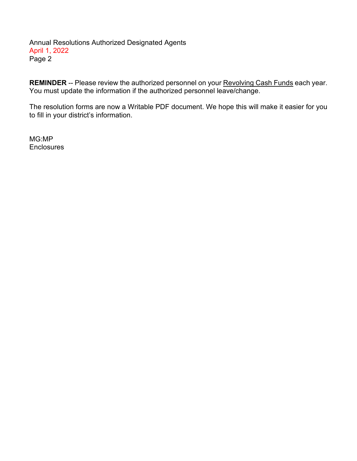Annual Resolutions Authorized Designated Agents April 1, 2022 Page 2

**REMINDER** -- Please review the authorized personnel on your Revolving Cash Funds each year. You must update the information if the authorized personnel leave/change.

The resolution forms are now a Writable PDF document. We hope this will make it easier for you to fill in your district's information.

MG:MP **Enclosures**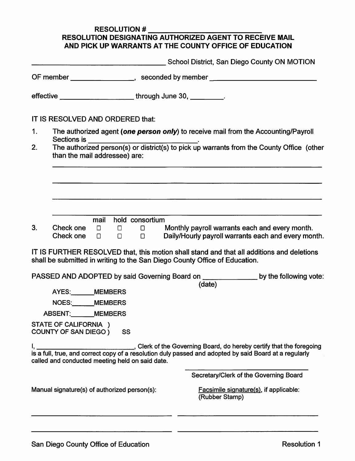## **RESOLUTION # RESOLUTION DESIGNATING AUTHORIZED AGENT TO RECEIVE MAIL** AND PICK UP WARRANTS AT THE COUNTY OFFICE OF EDUCATION

|                                                                 |                                                                                                                                                           |                                                                                    | School District, San Diego County ON MOTION                                                                                                                                 |                 |  |        |  |  |                                                                                                                                               |
|-----------------------------------------------------------------|-----------------------------------------------------------------------------------------------------------------------------------------------------------|------------------------------------------------------------------------------------|-----------------------------------------------------------------------------------------------------------------------------------------------------------------------------|-----------------|--|--------|--|--|-----------------------------------------------------------------------------------------------------------------------------------------------|
| effective _________________________through June 30, __________. |                                                                                                                                                           |                                                                                    | OF member __________________, seconded by member _______________________________                                                                                            |                 |  |        |  |  |                                                                                                                                               |
|                                                                 |                                                                                                                                                           |                                                                                    |                                                                                                                                                                             |                 |  |        |  |  |                                                                                                                                               |
|                                                                 | IT IS RESOLVED AND ORDERED that:                                                                                                                          |                                                                                    |                                                                                                                                                                             |                 |  |        |  |  |                                                                                                                                               |
| 1.                                                              | Sections is                                                                                                                                               | The authorized agent (one person only) to receive mail from the Accounting/Payroll |                                                                                                                                                                             |                 |  |        |  |  |                                                                                                                                               |
| 2.                                                              |                                                                                                                                                           |                                                                                    | Sections is ________________________________.<br>The authorized person(s) or district(s) to pick up warrants from the County Office (other<br>than the mail addressee) are: |                 |  |        |  |  |                                                                                                                                               |
|                                                                 |                                                                                                                                                           |                                                                                    |                                                                                                                                                                             |                 |  |        |  |  |                                                                                                                                               |
|                                                                 |                                                                                                                                                           |                                                                                    |                                                                                                                                                                             |                 |  |        |  |  |                                                                                                                                               |
|                                                                 |                                                                                                                                                           |                                                                                    |                                                                                                                                                                             |                 |  |        |  |  |                                                                                                                                               |
|                                                                 |                                                                                                                                                           | mail                                                                               |                                                                                                                                                                             | hold consortium |  |        |  |  |                                                                                                                                               |
| 3.                                                              | Check one $\Box$                                                                                                                                          |                                                                                    | $\Box$ . $\Box$ .                                                                                                                                                           | $\Box$          |  |        |  |  | Check one $\square$ $\square$ $\square$ Monthly payroll warrants each and every month.<br>Daily/Hourly payroll warrants each and every month. |
|                                                                 | shall be submitted in writing to the San Diego County Office of Education.                                                                                |                                                                                    |                                                                                                                                                                             |                 |  |        |  |  | IT IS FURTHER RESOLVED that, this motion shall stand and that all additions and deletions                                                     |
|                                                                 |                                                                                                                                                           |                                                                                    |                                                                                                                                                                             |                 |  |        |  |  | PASSED AND ADOPTED by said Governing Board on <b>with the set of the following vote:</b>                                                      |
|                                                                 | AYES: MEMBERS                                                                                                                                             |                                                                                    |                                                                                                                                                                             |                 |  | (date) |  |  |                                                                                                                                               |
|                                                                 | NOES:______MEMBERS                                                                                                                                        |                                                                                    |                                                                                                                                                                             |                 |  |        |  |  |                                                                                                                                               |
|                                                                 | ABSENT: MEMBERS                                                                                                                                           |                                                                                    |                                                                                                                                                                             |                 |  |        |  |  |                                                                                                                                               |
|                                                                 | STATE OF CALIFORNIA )<br><b>COUNTY OF SAN DIEGO)</b>                                                                                                      |                                                                                    | SS                                                                                                                                                                          |                 |  |        |  |  |                                                                                                                                               |
|                                                                 | is a full, true, and correct copy of a resolution duly passed and adopted by said Board at a regularly<br>called and conducted meeting held on said date. |                                                                                    |                                                                                                                                                                             |                 |  |        |  |  | Clerk of the Governing Board, do hereby certify that the foregoing                                                                            |
|                                                                 |                                                                                                                                                           |                                                                                    |                                                                                                                                                                             |                 |  |        |  |  | Secretary/Clerk of the Governing Board                                                                                                        |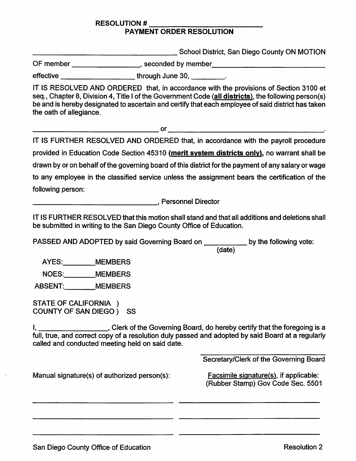## **RESOLUTION # PAYMENT ORDER RESOLUTION**

School District, San Diego County ON MOTION

OF member \_\_\_\_\_\_\_\_\_\_\_\_\_\_\_\_\_\_\_\_, seconded by member \_\_\_\_\_\_\_\_\_\_\_\_\_\_\_\_\_\_\_\_\_\_\_\_\_\_\_\_\_

effective effective through June 30,

IT IS RESOLVED AND ORDERED that, in accordance with the provisions of Section 3100 et seq., Chapter 8, Division 4, Title I of the Government Code (all districts), the following person(s) be and is hereby designated to ascertain and certify that each employee of said district has taken the oath of allegiance.

 $\overline{\text{or}}$ 

IT IS FURTHER RESOLVED AND ORDERED that, in accordance with the payroll procedure provided in Education Code Section 45310 (merit system districts only), no warrant shall be drawn by or on behalf of the governing board of this district for the payment of any salary or wage to any employee in the classified service unless the assignment bears the certification of the

following person:

**Example 2016**, Personnel Director

IT IS FURTHER RESOLVED that this motion shall stand and that all additions and deletions shall be submitted in writing to the San Diego County Office of Education.

PASSED AND ADOPTED by said Governing Board on \_\_\_\_\_\_\_\_\_\_\_ by the following vote:

AYES: MEMBERS

NOES: MEMBERS

ABSENT: MEMBERS

STATE OF CALIFORNIA ) COUNTY OF SAN DIEGO ) SS

I, \_\_\_\_\_\_\_\_\_\_\_\_\_\_\_\_\_\_\_\_\_\_, Clerk of the Governing Board, do hereby certify that the foregoing is a full, true, and correct copy of a resolution duly passed and adopted by said Board at a regularly called and conducted meeting held on said date.

Secretary/Clerk of the Governing Board

Manual signature(s) of authorized person(s):

Facsimile signature(s), if applicable: (Rubber Stamp) Gov Code Sec. 5501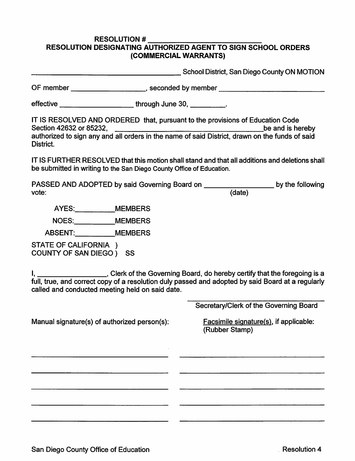## **RESOLUTION # RESOLUTION DESIGNATING AUTHORIZED AGENT TO SIGN SCHOOL ORDERS** (COMMERCIAL WARRANTS)

**Example 2018 School District, San Diego County ON MOTION** 

OF member example and seconded by member and seconded by member

effective \_\_\_\_\_\_\_\_\_\_\_\_\_\_\_\_\_\_\_\_\_\_\_\_\_\_\_\_\_\_\_\_through June 30, \_\_\_\_\_\_\_\_\_\_\_.

IT IS RESOLVED AND ORDERED that, pursuant to the provisions of Education Code Section 42632 or 85232. **Example 2018** be and is hereby authorized to sign any and all orders in the name of said District, drawn on the funds of said District.

IT IS FURTHER RESOLVED that this motion shall stand and that all additions and deletions shall be submitted in writing to the San Diego County Office of Education.

by the following

AYES: MEMBERS

NOES: MEMBERS

ABSENT: MEMBERS

STATE OF CALIFORNIA ) COUNTY OF SAN DIEGO ) SS

I, \_\_\_\_\_\_\_\_\_\_\_\_\_\_\_\_\_\_\_\_\_, Clerk of the Governing Board, do hereby certify that the foregoing is a full, true, and correct copy of a resolution duly passed and adopted by said Board at a regularly called and conducted meeting held on said date.

Manual signature(s) of authorized person(s):

Secretary/Clerk of the Governing Board

Facsimile signature(s), if applicable: (Rubber Stamp)